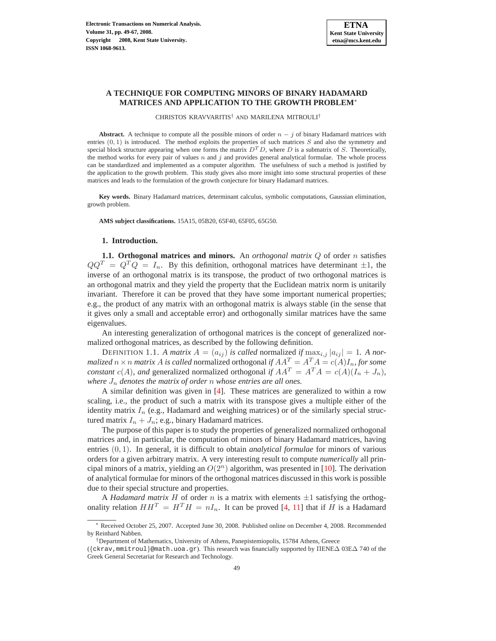# **A TECHNIQUE FOR COMPUTING MINORS OF BINARY HADAMARD MATRICES AND APPLICATION TO THE GROWTH PROBLEM**<sup>∗</sup>

CHRISTOS KRAVVARITIS† AND MARILENA MITROULI†

**Abstract.** A technique to compute all the possible minors of order  $n - j$  of binary Hadamard matrices with entries  $(0, 1)$  is introduced. The method exploits the properties of such matrices S and also the symmetry and special block structure appearing when one forms the matrix  $D^T D$ , where D is a submatrix of S. Theoretically, the method works for every pair of values  $n$  and  $j$  and provides general analytical formulae. The whole process can be standardized and implemented as a computer algorithm. The usefulness of such a method is justified by the application to the growth problem. This study gives also more insight into some structural properties of these matrices and leads to the formulation of the growth conjecture for binary Hadamard matrices.

**Key words.** Binary Hadamard matrices, determinant calculus, symbolic computations, Gaussian elimination, growth problem.

**AMS subject classifications.** 15A15, 05B20, 65F40, 65F05, 65G50.

## **1. Introduction.**

**1.1. Orthogonal matrices and minors.** An *orthogonal matrix* Q of order n satisfies  $QQ^{T} = Q^{T}Q = I_{n}$ . By this definition, orthogonal matrices have determinant  $\pm 1$ , the inverse of an orthogonal matrix is its transpose, the product of two orthogonal matrices is an orthogonal matrix and they yield the property that the Euclidean matrix norm is unitarily invariant. Therefore it can be proved that they have some important numerical properties; e.g., the product of any matrix with an orthogonal matrix is always stable (in the sense that it gives only a small and acceptable error) and orthogonally similar matrices have the same eigenvalues.

An interesting generalization of orthogonal matrices is the concept of generalized normalized orthogonal matrices, as described by the following definition.

DEFINITION 1.1. *A matrix*  $A = (a_{ij})$  *is called* normalized *if*  $\max_{i,j} |a_{ij}| = 1$ . *A normalized*  $n \times n$  *matrix* A *is called* normalized orthogonal *if*  $AA^T = A^T A = c(A)I_n$ , for some *constant*  $c(A)$ *, and* generalized normalized orthogonal *if*  $AA^T = A^T A = c(A)(I_n + J_n)$ *, where*  $J_n$  *denotes the matrix of order* n *whose entries are all ones.* 

A similar definition was given in [\[4\]](#page-17-0). These matrices are generalized to within a row scaling, i.e., the product of such a matrix with its transpose gives a multiple either of the identity matrix  $I_n$  (e.g., Hadamard and weighing matrices) or of the similarly special structured matrix  $I_n + J_n$ ; e.g., binary Hadamard matrices.

The purpose of this paper is to study the properties of generalized normalized orthogonal matrices and, in particular, the computation of minors of binary Hadamard matrices, having entries (0, 1). In general, it is difficult to obtain *analytical formulae* for minors of various orders for a given arbitrary matrix. A very interesting result to compute *numerically* all principal minors of a matrix, yielding an  $O(2<sup>n</sup>)$  algorithm, was presented in [\[10\]](#page-17-1). The derivation of analytical formulae for minors of the orthogonal matrices discussed in this work is possible due to their special structure and properties.

A *Hadamard matrix* H of order n is a matrix with elements  $\pm 1$  satisfying the orthogonality relation  $HH^T = H^T H = nI_n$ . It can be proved [\[4,](#page-17-0) [11\]](#page-17-2) that if H is a Hadamard

<sup>∗</sup> Received October 25, 2007. Accepted June 30, 2008. Published online on December 4, 2008. Recommended by Reinhard Nabben.

<sup>†</sup>Department of Mathematics, University of Athens, Panepistemiopolis, 15784 Athens, Greece

<sup>(</sup>{ckrav,mmitroul}@math.uoa.gr). This research was financially supported by ΠENE∆ 03E∆ 740 of the Greek General Secretariat for Research and Technology.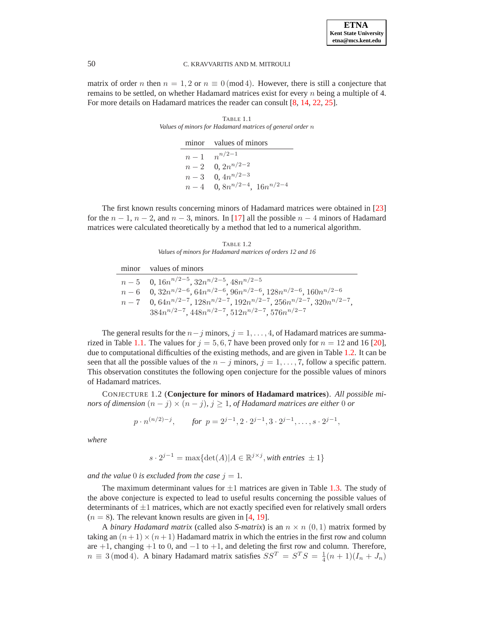

<span id="page-1-0"></span>matrix of order n then  $n = 1, 2$  or  $n \equiv 0 \pmod{4}$ . However, there is still a conjecture that remains to be settled, on whether Hadamard matrices exist for every n being a multiple of 4. For more details on Hadamard matrices the reader can consult [\[8,](#page-17-3) [14,](#page-18-0) [22,](#page-18-1) [25\]](#page-18-2).

> TABLE 1.1 *Values of minors for Hadamard matrices of general order* n

> > minor values of minors  $n-1$  $n^{n/2-1}$  $n-2$  $0, 2n^{n/2-2}$  $n-3$  $0, 4n^{n/2-3}$  $n-4$  0,  $8n^{n/2-4}$ ,  $16n^{n/2-4}$

The first known results concerning minors of Hadamard matrices were obtained in [\[23\]](#page-18-3) for the  $n-1$ ,  $n-2$ , and  $n-3$ , minors. In [\[17\]](#page-18-4) all the possible  $n-4$  minors of Hadamard matrices were calculated theoretically by a method that led to a numerical algorithm.

TABLE 1.2 *Values of minors for Hadamard matrices of orders 12 and 16*

<span id="page-1-1"></span>

| minor values of minors                                                                       |
|----------------------------------------------------------------------------------------------|
| $n-5$ 0, $16n^{n/2-5}$ , $32n^{n/2-5}$ , $48n^{n/2-5}$                                       |
| $n-6$ 0, $32n^{n/2-6}$ , $64n^{n/2-6}$ , $96n^{n/2-6}$ , $128n^{n/2-6}$ , $160n^{n/2-6}$     |
| $n-7$ 0, $64n^{n/2-7}$ , $128n^{n/2-7}$ , $192n^{n/2-7}$ , $256n^{n/2-7}$ , $320n^{n/2-7}$ , |
| $384n^{n/2-7}$ , $448n^{n/2-7}$ , $512n^{n/2-7}$ , $576n^{n/2-7}$                            |

The general results for the  $n-j$  minors,  $j = 1, \ldots, 4$ , of Hadamard matrices are summa-rized in Table [1.1.](#page-1-0) The values for  $j = 5, 6, 7$  have been proved only for  $n = 12$  and 16 [\[20\]](#page-18-5), due to computational difficulties of the existing methods, and are given in Table [1.2.](#page-1-1) It can be seen that all the possible values of the  $n - j$  minors,  $j = 1, \ldots, 7$ , follow a specific pattern. This observation constitutes the following open conjecture for the possible values of minors of Hadamard matrices.

CONJECTURE 1.2 (**Conjecture for minors of Hadamard matrices**). *All possible minors of dimension*  $(n - j) \times (n - j)$ *,*  $j \geq 1$ *, of Hadamard matrices are either* 0 *or* 

$$
p \cdot n^{(n/2)-j}
$$
, for  $p = 2^{j-1}, 2 \cdot 2^{j-1}, 3 \cdot 2^{j-1}, \ldots, s \cdot 2^{j-1}$ ,

*where*

$$
s \cdot 2^{j-1} = \max\{\det(A)| A \in \mathbb{R}^{j \times j}, \text{with entries } \pm 1\}
$$

*and the value* 0 *is excluded from the case*  $j = 1$ *.* 

The maximum determinant values for  $\pm 1$  matrices are given in Table [1.3.](#page-2-0) The study of the above conjecture is expected to lead to useful results concerning the possible values of determinants of  $\pm 1$  matrices, which are not exactly specified even for relatively small orders  $(n = 8)$ . The relevant known results are given in [\[4,](#page-17-0) [19\]](#page-18-6).

A *binary Hadamard matrix* (called also *S-matrix*) is an  $n \times n$  (0, 1) matrix formed by taking an  $(n+1) \times (n+1)$  Hadamard matrix in which the entries in the first row and column are  $+1$ , changing  $+1$  to 0, and  $-1$  to  $+1$ , and deleting the first row and column. Therefore,  $n \equiv 3 \pmod{4}$ . A binary Hadamard matrix satisfies  $SS^T = S^T S = \frac{1}{4}(n+1)(I_n + J_n)$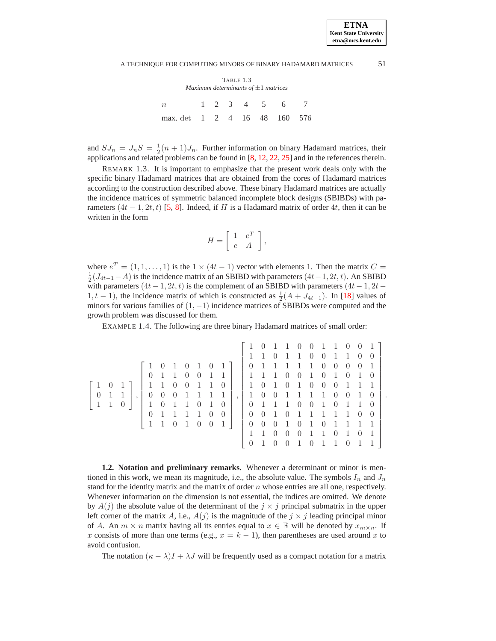.

### A TECHNIQUE FOR COMPUTING MINORS OF BINARY HADAMARD MATRICES 51

TABLE 1.3 *Maximum determinants of* ±1 *matrices*

<span id="page-2-0"></span>

|                              |  |  | 1 2 3 4 5 6 7 |  |
|------------------------------|--|--|---------------|--|
| max. det 1 2 4 16 48 160 576 |  |  |               |  |

and  $SJ_n = J_nS = \frac{1}{2}(n+1)J_n$ . Further information on binary Hadamard matrices, their applications and related problems can be found in [\[8,](#page-17-3) [12,](#page-17-4) [22,](#page-18-1) [25\]](#page-18-2) and in the references therein.

REMARK 1.3. It is important to emphasize that the present work deals only with the specific binary Hadamard matrices that are obtained from the cores of Hadamard matrices according to the construction described above. These binary Hadamard matrices are actually the incidence matrices of symmetric balanced incomplete block designs (SBIBDs) with parameters  $(4t - 1, 2t, t)$  [\[5,](#page-17-5) [8\]](#page-17-3). Indeed, if H is a Hadamard matrix of order 4t, then it can be written in the form

$$
H = \left[ \begin{array}{cc} 1 & e^T \\ e & A \end{array} \right],
$$

where  $e^T = (1, 1, \dots, 1)$  is the  $1 \times (4t - 1)$  vector with elements 1. Then the matrix  $C =$  $\frac{1}{2}(J_{4t-1}-A)$  is the incidence matrix of an SBIBD with parameters  $(4t-1, 2t, t)$ . An SBIBD with parameters  $(4t - 1, 2t, t)$  is the complement of an SBIBD with parameters  $(4t - 1, 2t - 1)$ 1, t − 1), the incidence matrix of which is constructed as  $\frac{1}{2}(A + J_{4t-1})$ . In [\[18\]](#page-18-7) values of minors for various families of  $(1, -1)$  incidence matrices of SBIBDs were computed and the growth problem was discussed for them.

EXAMPLE 1.4. The following are three binary Hadamard matrices of small order:

<span id="page-2-2"></span>

|                |              |                |         |                |                |                |                             |                                   |                |                |                  | $\theta$       | -1             | $\overline{1}$ | $\overline{0}$ | $\overline{0}$                   | $1\quad1\quad0$                                                                    |                |                | $\overline{0}$ | $1 \mid$       |
|----------------|--------------|----------------|---------|----------------|----------------|----------------|-----------------------------|-----------------------------------|----------------|----------------|------------------|----------------|----------------|----------------|----------------|----------------------------------|------------------------------------------------------------------------------------|----------------|----------------|----------------|----------------|
|                |              |                |         |                |                |                |                             |                                   |                |                |                  | -1             | $\theta$       | 1              | $\mathbf{1}$   | $\overline{0}$                   | $\overline{0}$                                                                     | $\overline{1}$ | $\overline{1}$ | $\overline{0}$ | $\overline{0}$ |
|                |              |                |         |                | $\overline{0}$ | -1             | $\theta$                    | -1                                | $\overline{0}$ | $1\vert$       | $\overline{0}$   | $\mathbf{1}$   | -1             | $\overline{1}$ | $\mathbf{1}$   | $\begin{array}{c} 1 \end{array}$ | $0 \quad 0$                                                                        |                | $\overline{0}$ | $\overline{0}$ | -1             |
|                |              |                |         | $\overline{0}$ | $1\quad1$      |                | $\overline{0}$              | $\overline{0}$                    | $1\quad1$      |                | 1111             |                |                | $\overline{0}$ | $\overline{0}$ | -1                               | $\overline{0}$                                                                     | $\mathbf{1}$   | $\overline{0}$ | $\overline{1}$ | $\overline{0}$ |
|                | $\theta$     |                |         |                | $1 \quad 1$    | $\overline{0}$ | $\overline{0}$              | $\begin{array}{cc} 1 \end{array}$ | $\overline{1}$ | $\overline{0}$ | $\mathbf{1}$     | $\overline{0}$ | -1             | $\overline{0}$ | $\mathbf{1}$   | $\overline{0}$                   | $0 \quad 0$                                                                        |                | $\overline{1}$ | - 1            | -1             |
| $\overline{0}$ | 1 1          |                | $\cdot$ | $\overline{0}$ | $\overline{0}$ |                | $0 \quad 1 \quad 1 \quad 1$ |                                   |                | $\overline{1}$ | 1                | $\overline{0}$ | $\overline{0}$ | $\mathbf{1}$   |                |                                  | $\begin{array}{cccccc} 1 & 1 & 1 & 0 & 0 & 1 \\ 0 & 0 & 1 & 0 & 1 & 1 \end{array}$ |                |                |                | $\overline{0}$ |
|                | $\mathbf{1}$ | $\overline{0}$ |         | $\mathbf{1}$   | $\overline{0}$ |                | $1 \quad 1 \quad 0$         |                                   | $\overline{1}$ | $\overline{0}$ | $\boldsymbol{0}$ | $\overline{1}$ | $\overline{1}$ | $\overline{1}$ |                |                                  |                                                                                    |                |                |                | $\overline{0}$ |
|                |              |                |         | $\theta$       | $\overline{1}$ | $\overline{1}$ | $1\quad1$                   |                                   | $\overline{0}$ | $\overline{0}$ | $\overline{0}$   | $\overline{0}$ | $\overline{1}$ | $\overline{0}$ | $\mathbf{1}$   | $\mathbf{1}$                     | $1 \quad 1 \quad 1$                                                                |                |                | $\overline{0}$ | $\theta$       |
|                |              |                |         | $\mathbf{1}$   | $\mathbf{1}$   | $0\quad1$      |                             | $\overline{0}$                    | $\overline{0}$ | $\boxed{1}$    | $\theta$         | $\overline{0}$ | $\overline{0}$ | $\mathbf{1}$   |                | $0\quad1$                        | $\begin{matrix} 0 & 1 & 1 & 1 \end{matrix}$                                        |                |                |                | -1             |
|                |              |                |         |                |                |                |                             |                                   |                |                | 1                |                | $\overline{0}$ | $\overline{0}$ | $\overline{0}$ | -1                               | -1                                                                                 | $\overline{0}$ | $\overline{1}$ | $\overline{0}$ | -1             |
|                |              |                |         |                |                |                |                             |                                   |                |                | $\Omega$         |                | $\theta$       | $\overline{0}$ | -1             | $\overline{0}$                   | $1\quad1$                                                                          |                | $\overline{0}$ |                |                |

<span id="page-2-1"></span>**1.2. Notation and preliminary remarks.** Whenever a determinant or minor is mentioned in this work, we mean its magnitude, i.e., the absolute value. The symbols  $I_n$  and  $J_n$ stand for the identity matrix and the matrix of order  $n$  whose entries are all one, respectively. Whenever information on the dimension is not essential, the indices are omitted. We denote by  $A(j)$  the absolute value of the determinant of the  $j \times j$  principal submatrix in the upper left corner of the matrix A, i.e.,  $A(j)$  is the magnitude of the  $j \times j$  leading principal minor of A. An  $m \times n$  matrix having all its entries equal to  $x \in \mathbb{R}$  will be denoted by  $x_{m \times n}$ . If x consists of more than one terms (e.g.,  $x = k - 1$ ), then parentheses are used around x to avoid confusion.

The notation  $(\kappa - \lambda)I + \lambda J$  will be frequently used as a compact notation for a matrix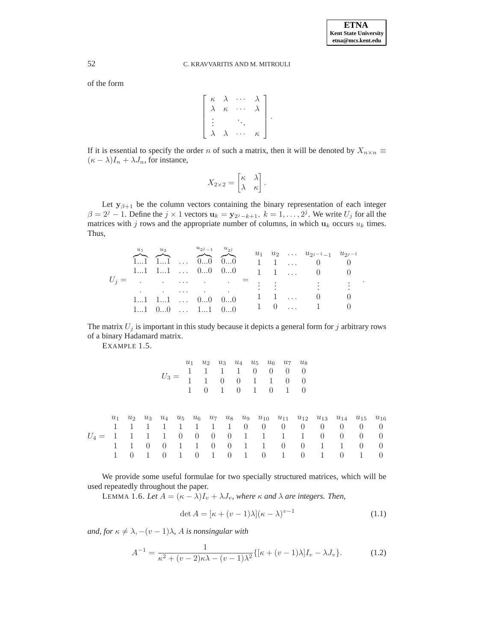.

# 52 C. KRAVVARITIS AND M. MITROULI

of the form

$$
\left[\begin{array}{cccc} \kappa & \lambda & \cdots & \lambda \\ \lambda & \kappa & \cdots & \lambda \\ \vdots & & \ddots & \\ \lambda & \lambda & \cdots & \kappa \end{array}\right].
$$

If it is essential to specify the order n of such a matrix, then it will be denoted by  $X_{n\times n}$   $\equiv$  $(\kappa - \lambda)I_n + \lambda J_n$ , for instance,

$$
X_{2\times 2} = \begin{bmatrix} \kappa & \lambda \\ \lambda & \kappa \end{bmatrix}.
$$

Let  $y_{\beta+1}$  be the column vectors containing the binary representation of each integer  $\beta = 2^j - 1$ . Define the  $j \times 1$  vectors  $\mathbf{u}_k = \mathbf{y}_{2^j - k + 1}$ ,  $k = 1, \dots, 2^j$ . We write  $U_j$  for all the matrices with j rows and the appropriate number of columns, in which  $u_k$  occurs  $u_k$  times. Thus,

|                                                                                                                                          | $u_1$ $u_2$ $u_{2^{j-1}-1}$ $u_{2^{j-1}}$<br>$1 \quad 1 \quad \ldots \quad 0 \quad 0$<br>11 11  00 00 $1 \t1 \t 0 \t0$ |
|------------------------------------------------------------------------------------------------------------------------------------------|------------------------------------------------------------------------------------------------------------------------|
| $U_j =$ $=$ : : : : :                                                                                                                    |                                                                                                                        |
| and the contract of the contract of<br>1 1  0<br>$11$ $11$ $00$ $00$<br>$1 \t 0 \t  \t 1 \t 0$<br>$11 \quad 00 \quad  \quad 11 \quad 00$ |                                                                                                                        |

The matrix  $U_j$  is important in this study because it depicts a general form for j arbitrary rows of a binary Hadamard matrix.

EXAMPLE 1.5.

|        |             |                     |                          | $U_3 =$                                   |                                 | $u_1$<br>$\mathbf{1}$                | $u_2$<br>$\mathbf{1}$<br>$\Omega$          | $u_{3}$<br>$\theta$<br>$\mathbf{1}$                     | 1<br>$\overline{0}$<br>$\overline{0}$ | $\theta$<br>$\overline{1}$<br>$\overline{1}$ | $\theta$<br>-1<br>$\overline{0}$            | $u_4$ $u_5$ $u_6$ $u_7$ $u_8$<br>$\theta$<br>$\overline{0}$<br>$\mathbf{1}$ | $\theta$<br>$\overline{0}$<br>$\overline{0}$                       |                                      |                                                                                                                                                                |                                       |                                                     |
|--------|-------------|---------------------|--------------------------|-------------------------------------------|---------------------------------|--------------------------------------|--------------------------------------------|---------------------------------------------------------|---------------------------------------|----------------------------------------------|---------------------------------------------|-----------------------------------------------------------------------------|--------------------------------------------------------------------|--------------------------------------|----------------------------------------------------------------------------------------------------------------------------------------------------------------|---------------------------------------|-----------------------------------------------------|
| $U_4=$ | $u_1$<br>-1 | -1<br>1<br>$\theta$ | L<br>-1<br>$\theta$<br>1 | 1<br>$\mathbf{1}$<br>$\theta$<br>$\theta$ | 1<br>$\overline{0}$<br>-1<br>-1 | 1<br>$\overline{0}$<br>1<br>$\theta$ | 1<br>$\overline{0}$<br>$\overline{0}$<br>1 | 1<br>$\overline{0}$<br>$\overline{0}$<br>$\overline{0}$ | $\overline{0}$<br>-1<br>-1<br>1       |                                              | $\overline{0}$<br>1<br>-1<br>$\overline{0}$ | $\overline{0}$<br>$\mathbf{1}$<br>$\overline{0}$<br>1                       | $\overline{0}$<br>$\mathbf{1}$<br>$\overline{0}$<br>$\overline{0}$ | $\theta$<br>$\overline{0}$<br>1<br>1 | $u_2$ $u_3$ $u_4$ $u_5$ $u_6$ $u_7$ $u_8$ $u_9$ $u_{10}$ $u_{11}$ $u_{12}$ $u_{13}$ $u_{14}$ $u_{15}$ $u_{16}$<br>$\theta$<br>$\overline{0}$<br>-1<br>$\theta$ | $\theta$<br>$\theta$<br>$\Omega$<br>1 | $\overline{0}$<br>- 0<br>$\overline{0}$<br>$\theta$ |

We provide some useful formulae for two specially structured matrices, which will be used repeatedly throughout the paper.

<span id="page-3-1"></span>LEMMA 1.6. Let  $A = (\kappa - \lambda)I_v + \lambda J_v$ , where  $\kappa$  and  $\lambda$  are integers. Then,

$$
\det A = [\kappa + (\upsilon - 1)\lambda](\kappa - \lambda)^{\upsilon - 1}
$$
\n(1.1)

<span id="page-3-0"></span>*and, for*  $\kappa \neq \lambda$ ,  $-(v-1)\lambda$ , *A is nonsingular with* 

$$
A^{-1} = \frac{1}{\kappa^2 + (v-2)\kappa\lambda - (v-1)\lambda^2} \{ [\kappa + (v-1)\lambda]I_v - \lambda J_v \}.
$$
 (1.2)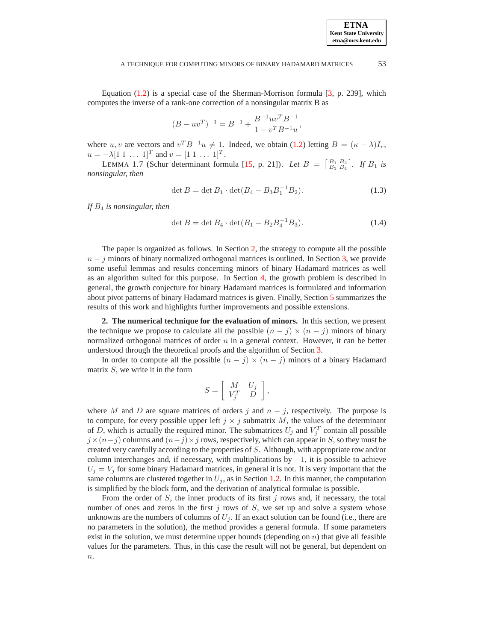**ETNA**

## A TECHNIQUE FOR COMPUTING MINORS OF BINARY HADAMARD MATRICES 53

Equation [\(1.2\)](#page-3-0) is a special case of the Sherman-Morrison formula [\[3,](#page-17-6) p. 239], which computes the inverse of a rank-one correction of a nonsingular matrix B as

$$
(B - uvT)-1 = B-1 + \frac{B-1uvTB-1}{1 - vTB-1u},
$$

where u, v are vectors and  $v^T B^{-1}u \neq 1$ . Indeed, we obtain [\(1.2\)](#page-3-0) letting  $B = (\kappa - \lambda)I_v$ ,  $u = -\lambda [1 \ 1 \ \dots \ 1]^T$  and  $v = [1 \ 1 \ \dots \ 1]^T$ .

LEMMA 1.7 (Schur determinant formula [\[15,](#page-18-8) p. 21]). *Let*  $B = \begin{bmatrix} B_1 & B_2 \ B_3 & B_4 \end{bmatrix}$ . *If*  $B_1$  *is nonsingular, then*

$$
\det B = \det B_1 \cdot \det(B_4 - B_3 B_1^{-1} B_2). \tag{1.3}
$$

<span id="page-4-2"></span><span id="page-4-1"></span>*If* B<sup>4</sup> *is nonsingular, then*

$$
\det B = \det B_4 \cdot \det(B_1 - B_2 B_4^{-1} B_3). \tag{1.4}
$$

The paper is organized as follows. In Section [2,](#page-4-0) the strategy to compute all the possible  $n - j$  minors of binary normalized orthogonal matrices is outlined. In Section [3,](#page-5-0) we provide some useful lemmas and results concerning minors of binary Hadamard matrices as well as an algorithm suited for this purpose. In Section [4,](#page-13-0) the growth problem is described in general, the growth conjecture for binary Hadamard matrices is formulated and information about pivot patterns of binary Hadamard matrices is given. Finally, Section [5](#page-17-7) summarizes the results of this work and highlights further improvements and possible extensions.

<span id="page-4-0"></span>**2. The numerical technique for the evaluation of minors.** In this section, we present the technique we propose to calculate all the possible  $(n - j) \times (n - j)$  minors of binary normalized orthogonal matrices of order  $n$  in a general context. However, it can be better understood through the theoretical proofs and the algorithm of Section [3.](#page-5-0)

In order to compute all the possible  $(n - j) \times (n - j)$  minors of a binary Hadamard matrix  $S$ , we write it in the form

$$
S = \left[ \begin{array}{cc} M & U_j \\ V_j^T & D \end{array} \right],
$$

where M and D are square matrices of orders j and  $n - j$ , respectively. The purpose is to compute, for every possible upper left  $j \times j$  submatrix M, the values of the determinant of D, which is actually the required minor. The submatrices  $U_j$  and  $V_j^T$  contain all possible  $j \times (n-j)$  columns and  $(n-j) \times j$  rows, respectively, which can appear in S, so they must be created very carefully according to the properties of S. Although, with appropriate row and/or column interchanges and, if necessary, with multiplications by  $-1$ , it is possible to achieve  $U_i = V_i$  for some binary Hadamard matrices, in general it is not. It is very important that the same columns are clustered together in  $U_j$ , as in Section [1.2.](#page-2-1) In this manner, the computation is simplified by the block form, and the derivation of analytical formulae is possible.

From the order of  $S$ , the inner products of its first  $j$  rows and, if necessary, the total number of ones and zeros in the first  $j$  rows of  $S$ , we set up and solve a system whose unknowns are the numbers of columns of  $U_j$ . If an exact solution can be found (i.e., there are no parameters in the solution), the method provides a general formula. If some parameters exist in the solution, we must determine upper bounds (depending on  $n$ ) that give all feasible values for the parameters. Thus, in this case the result will not be general, but dependent on  $n<sub>1</sub>$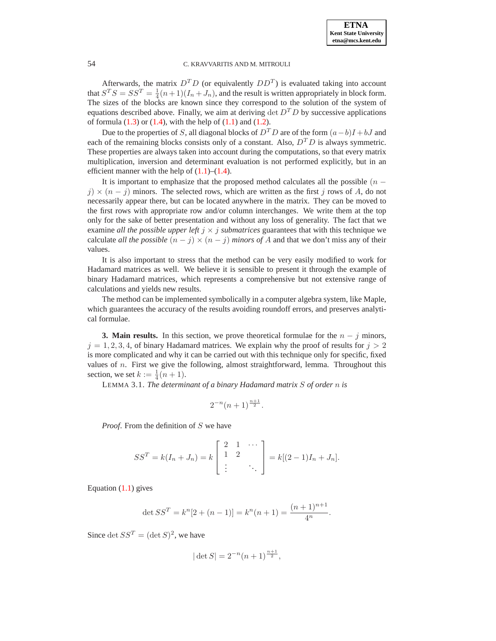Afterwards, the matrix  $D^T D$  (or equivalently  $DD^T$ ) is evaluated taking into account that  $S^T S = S S^T = \frac{1}{4}(n+1)(I_n + J_n)$ , and the result is written appropriately in block form. The sizes of the blocks are known since they correspond to the solution of the system of equations described above. Finally, we aim at deriving  $\det D^T D$  by successive applications of formula  $(1.3)$  or  $(1.4)$ , with the help of  $(1.1)$  and  $(1.2)$ .

Due to the properties of S, all diagonal blocks of  $D<sup>T</sup>D$  are of the form  $(a-b)I + bJ$  and each of the remaining blocks consists only of a constant. Also,  $D<sup>T</sup>D$  is always symmetric. These properties are always taken into account during the computations, so that every matrix multiplication, inversion and determinant evaluation is not performed explicitly, but in an efficient manner with the help of  $(1.1)$ – $(1.4)$ .

It is important to emphasize that the proposed method calculates all the possible  $(n$  $j \geq (n-j)$  minors. The selected rows, which are written as the first j rows of A, do not necessarily appear there, but can be located anywhere in the matrix. They can be moved to the first rows with appropriate row and/or column interchanges. We write them at the top only for the sake of better presentation and without any loss of generality. The fact that we examine *all the possible upper left*  $j \times j$  *submatrices* guarantees that with this technique we calculate *all the possible*  $(n - j) \times (n - j)$  *minors of A* and that we don't miss any of their values.

It is also important to stress that the method can be very easily modified to work for Hadamard matrices as well. We believe it is sensible to present it through the example of binary Hadamard matrices, which represents a comprehensive but not extensive range of calculations and yields new results.

The method can be implemented symbolically in a computer algebra system, like Maple, which guarantees the accuracy of the results avoiding roundoff errors, and preserves analytical formulae.

<span id="page-5-1"></span><span id="page-5-0"></span>**3. Main results.** In this section, we prove theoretical formulae for the  $n - j$  minors,  $j = 1, 2, 3, 4$ , of binary Hadamard matrices. We explain why the proof of results for  $j > 2$ is more complicated and why it can be carried out with this technique only for specific, fixed values of  $n$ . First we give the following, almost straightforward, lemma. Throughout this section, we set  $k := \frac{1}{4}(n+1)$ .

LEMMA 3.1. *The determinant of a binary Hadamard matrix* S *of order* n *is*

$$
2^{-n}(n+1)^{\frac{n+1}{2}}.
$$

*Proof.* From the definition of S we have

$$
SS^{T} = k(I_{n} + J_{n}) = k \begin{bmatrix} 2 & 1 & \cdots \\ 1 & 2 & \\ \vdots & & \ddots \end{bmatrix} = k[(2-1)I_{n} + J_{n}].
$$

Equation [\(1.1\)](#page-3-1) gives

$$
\det SS^T = k^n[2 + (n-1)] = k^n(n+1) = \frac{(n+1)^{n+1}}{4^n}.
$$

Since  $\det SS^T = (\det S)^2$ , we have

$$
|\det S| = 2^{-n}(n+1)^{\frac{n+1}{2}},
$$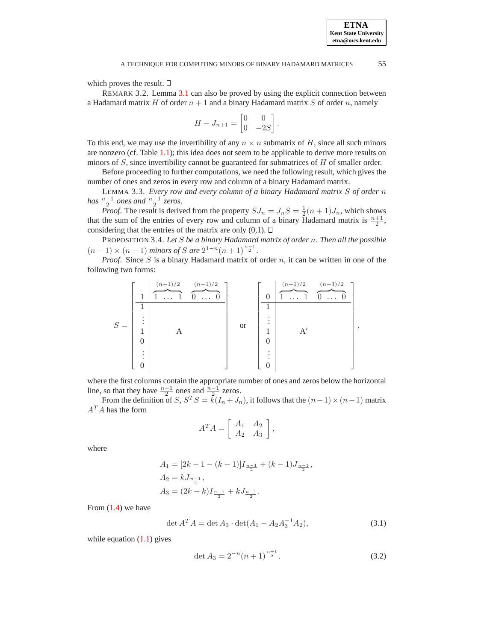which proves the result.  $\square$ 

REMARK 3.2. Lemma [3.1](#page-5-1) can also be proved by using the explicit connection between a Hadamard matrix H of order  $n + 1$  and a binary Hadamard matrix S of order n, namely

$$
H - J_{n+1} = \begin{bmatrix} 0 & 0 \\ 0 & -2S \end{bmatrix}.
$$

To this end, we may use the invertibility of any  $n \times n$  submatrix of H, since all such minors are nonzero (cf. Table [1.1\)](#page-1-0); this idea does not seem to be applicable to derive more results on minors of  $S$ , since invertibility cannot be guaranteed for submatrices of  $H$  of smaller order.

<span id="page-6-2"></span>Before proceeding to further computations, we need the following result, which gives the number of ones and zeros in every row and column of a binary Hadamard matrix.

LEMMA 3.3. *Every row and every column of a binary Hadamard matrix* S *of order* n *has*  $\frac{n+1}{2}$  ones and  $\frac{n-1}{2}$  zeros.

*Proof.* The result is derived from the property  $SJ_n = J_nS = \frac{1}{2}(n+1)J_n$ , which shows that the sum of the entries of every row and column of a binary Hadamard matrix is  $\frac{n+1}{2}$ , considering that the entries of the matrix are only  $(0,1)$ .  $\Box$ 

<span id="page-6-3"></span>PROPOSITION 3.4. *Let* S *be a binary Hadamard matrix of order* n*. Then all the possible*  $(n-1) \times (n-1)$  *minors of* S are  $2^{1-n}(n+1)^{\frac{n-1}{2}}$ .

*Proof.* Since S is a binary Hadamard matrix of order  $n$ , it can be written in one of the following two forms:

$$
S = \begin{bmatrix} 1 & \frac{(n-1)/2}{1} & \frac{(n-1)/2}{0} & 0 \\ \vdots & \vdots & \vdots & \vdots \\ 1 & A & \vdots & \vdots \\ 0 & & & & 1 \\ 0 & & & & & 1 \\ 0 & & & & & 1 \\ \end{bmatrix} \quad \text{or} \quad \begin{bmatrix} 0 & \frac{(n+1)/2}{1} & \frac{(n-3)/2}{0} & 0 \\ \vdots & \vdots & \ddots & \vdots \\ 1 & & A' & \vdots \\ 0 & & & & 1 \\ \vdots & & & & & 1 \\ 0 & & & & & & 1 \\ 0 & & & & & & 1 \\ \end{bmatrix},
$$

where the first columns contain the appropriate number of ones and zeros below the horizontal line, so that they have  $\frac{n+1}{2}$  ones and  $\frac{n-1}{2}$  zeros.

From the definition of  $S, S^T S = \overline{k}(I_n + J_n)$ , it follows that the  $(n-1) \times (n-1)$  matrix  $A^T A$  has the form

$$
A^T A = \left[ \begin{array}{cc} A_1 & A_2 \\ A_2 & A_3 \end{array} \right],
$$

where

$$
A_1 = [2k - 1 - (k - 1)]I_{\frac{n-1}{2}} + (k - 1)J_{\frac{n-1}{2}},
$$
  
\n
$$
A_2 = kJ_{\frac{n-1}{2}},
$$
  
\n
$$
A_3 = (2k - k)I_{\frac{n-1}{2}} + kJ_{\frac{n-1}{2}}.
$$

<span id="page-6-1"></span>From  $(1.4)$  we have

<span id="page-6-0"></span>
$$
\det A^T A = \det A_3 \cdot \det(A_1 - A_2 A_3^{-1} A_2),\tag{3.1}
$$

while equation  $(1.1)$  gives

$$
\det A_3 = 2^{-n}(n+1)^{\frac{n+1}{2}}.\tag{3.2}
$$

**ETNA Kent State University etna@mcs.kent.edu**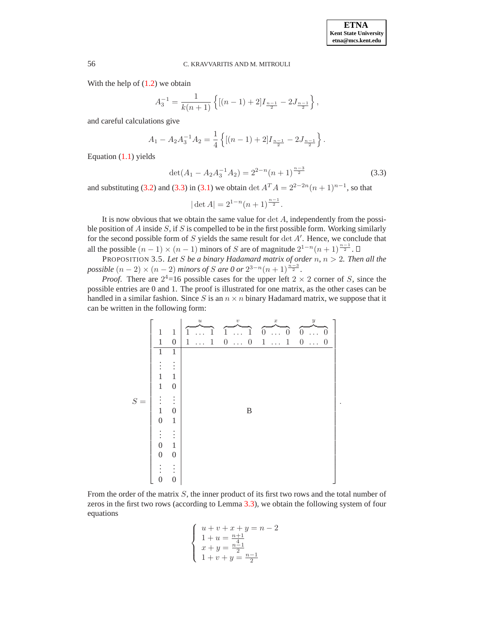With the help of  $(1.2)$  we obtain

$$
A_3^{-1} = \frac{1}{k(n+1)} \left\{ \left[ (n-1) + 2 \right] I_{\frac{n-1}{2}} - 2J_{\frac{n-1}{2}} \right\},\,
$$

and careful calculations give

$$
A_1 - A_2 A_3^{-1} A_2 = \frac{1}{4} \left\{ \left[ (n-1) + 2 \right] I_{\frac{n-1}{2}} - 2 J_{\frac{n-1}{2}} \right\}.
$$

<span id="page-7-0"></span>Equation [\(1.1\)](#page-3-1) yields

$$
\det(A_1 - A_2 A_3^{-1} A_2) = 2^{2-n} (n+1)^{\frac{n-3}{2}}
$$
\n(3.3)

and substituting [\(3.2\)](#page-6-0) and [\(3.3\)](#page-7-0) in [\(3.1\)](#page-6-1) we obtain det  $A^T A = 2^{2-2n}(n+1)^{n-1}$ , so that

$$
|\det A| = 2^{1-n}(n+1)^{\frac{n-1}{2}}.
$$

It is now obvious that we obtain the same value for  $\det A$ , independently from the possible position of A inside  $S$ , if S is compelled to be in the first possible form. Working similarly for the second possible form of  $S$  yields the same result for  $\det A'$ for the second possible form of  $S$  yields the same result for  $\det A'$ . Hence, we conclude that all the possible  $(n-1) \times (n-1)$  minors of S are of magnitude  $2^{1-n}(n+1)^{\frac{n-1}{2}}$ all the possible  $(n-1) \times (n-1)$  minors of S are of magnitude  $2^{1-n}(n+1)^{\frac{n-1}{2}}$ .

<span id="page-7-1"></span>PROPOSITION 3.5. *Let S be a binary Hadamard matrix of order n,*  $n > 2$ *. Then all the possible*  $(n-2) \times (n-2)$  *minors of S are 0 or*  $2^{3-n}(n+1)^{\frac{n-3}{2}}$ *. possible*  $(n-2) \times (n-2)$  *minors of* S are 0 or  $2^{3-n}(n+1)^{\frac{n-3}{2}}$ .

*Proof.* There are  $2^4$ =16 possible cases for the upper left  $2 \times 2$  corner of S, since the possible entries are 0 and 1. The proof is illustrated for one matrix, as the other cases can be handled in a similar fashion. Since S is an  $n \times n$  binary Hadamard matrix, we suppose that it can be written in the following form:



From the order of the matrix  $S$ , the inner product of its first two rows and the total number of zeros in the first two rows (according to Lemma [3.3\)](#page-6-2), we obtain the following system of four equations

$$
\left\{\n\begin{array}{l}\n u+v+x+y=n-2 \\
 1+u=\frac{n+1}{4} \\
 x+y=\frac{n-1}{2} \\
 1+v+y=\frac{n-1}{2}\n\end{array}\n\right.
$$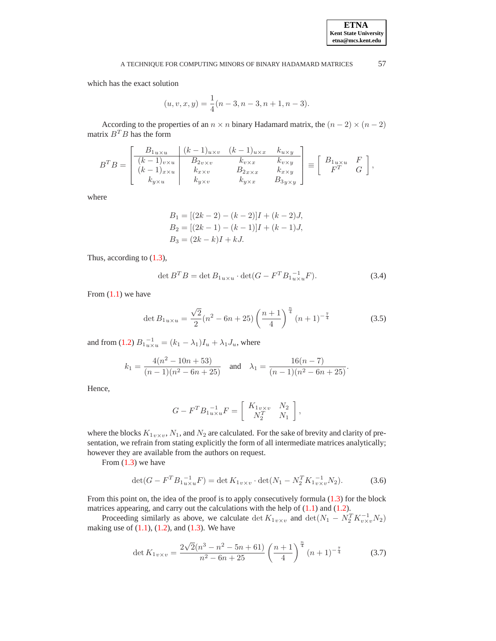which has the exact solution

$$
(u, v, x, y) = \frac{1}{4}(n-3, n-3, n+1, n-3).
$$

According to the properties of an  $n \times n$  binary Hadamard matrix, the  $(n - 2) \times (n - 2)$ matrix  $B^T B$  has the form

$$
B^{T}B = \begin{bmatrix} B_{1u \times u} & (k-1)_{u \times v} & (k-1)_{u \times x} & k_{u \times y} \\ (k-1)_{v \times u} & B_{2v \times v} & k_{v \times x} & k_{v \times y} \\ (k-1)_{x \times u} & k_{x \times v} & B_{2x \times x} & k_{x \times y} \\ k_{y \times u} & k_{y \times v} & k_{y \times x} & B_{3y \times y} \end{bmatrix} \equiv \begin{bmatrix} B_{1u \times u} & F \\ F^{T} & G \end{bmatrix},
$$

where

$$
B_1 = [(2k - 2) - (k - 2)]I + (k - 2)J,
$$
  
\n
$$
B_2 = [(2k - 1) - (k - 1)]I + (k - 1)J,
$$
  
\n
$$
B_3 = (2k - k)I + kJ.
$$

<span id="page-8-0"></span>Thus, according to [\(1.3\)](#page-4-1),

$$
\det B^T B = \det B_{1u \times u} \cdot \det(G - F^T B_{1u \times u}^{-1} F). \tag{3.4}
$$

From  $(1.1)$  we have

$$
\det B_{1u\times u} = \frac{\sqrt{2}}{2}(n^2 - 6n + 25) \left(\frac{n+1}{4}\right)^{\frac{n}{4}} (n+1)^{-\frac{7}{4}}
$$
(3.5)

and from [\(1.2\)](#page-3-0)  $B_1^{-1}_{u \times u} = (k_1 - \lambda_1)I_u + \lambda_1 J_u$ , where

$$
k_1 = \frac{4(n^2 - 10n + 53)}{(n-1)(n^2 - 6n + 25)} \quad \text{and} \quad \lambda_1 = \frac{16(n-7)}{(n-1)(n^2 - 6n + 25)}.
$$

Hence,

$$
G - F^T B_1^{-1}_{u \times u} F = \begin{bmatrix} K_{1v \times v} & N_2 \\ N_2^T & N_1 \end{bmatrix},
$$

where the blocks  $K_{1v\times v}$ ,  $N_1$ , and  $N_2$  are calculated. For the sake of brevity and clarity of presentation, we refrain from stating explicitly the form of all intermediate matrices analytically; however they are available from the authors on request.

From  $(1.3)$  we have

$$
\det(G - F^T B_{1 u \times u}^{-1} F) = \det K_{1 v \times v} \cdot \det(N_1 - N_2^T K_{1 v \times v}^{-1} N_2). \tag{3.6}
$$

From this point on, the idea of the proof is to apply consecutively formula [\(1.3\)](#page-4-1) for the block matrices appearing, and carry out the calculations with the help of [\(1.1\)](#page-3-1) and [\(1.2\)](#page-3-0).

Proceeding similarly as above, we calculate  $\det K_{1v\times v}$  and  $\det(N_1 - N_2^T K_{v\times v}^{-1} N_2)$ making use of  $(1.1)$ ,  $(1.2)$ , and  $(1.3)$ . We have

$$
\det K_{1v \times v} = \frac{2\sqrt{2}(n^3 - n^2 - 5n + 61)}{n^2 - 6n + 25} \left(\frac{n+1}{4}\right)^{\frac{n}{4}} (n+1)^{-\frac{7}{4}} \tag{3.7}
$$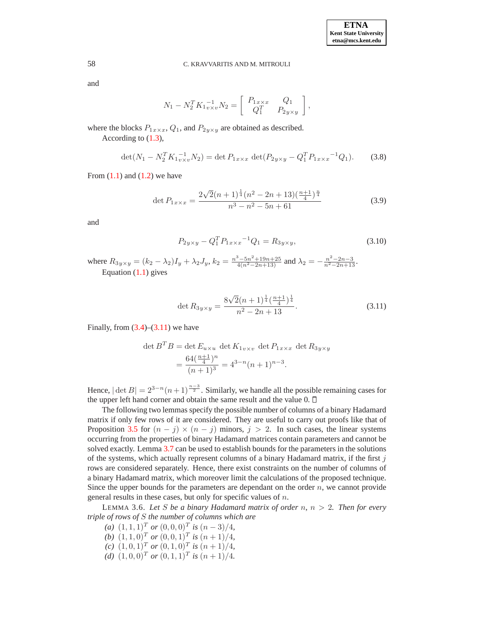and

$$
N_1 - N_2^T K_1^{-1}_{v \times v} N_2 = \begin{bmatrix} P_{1x \times x} & Q_1 \\ Q_1^T & P_{2y \times y} \end{bmatrix},
$$

where the blocks  $P_{1x \times x}$ ,  $Q_1$ , and  $P_{2y \times y}$  are obtained as described.

According to [\(1.3\)](#page-4-1),

$$
\det(N_1 - N_2^T K_{1v \times v}^{-1} N_2) = \det P_{1x \times x} \det(P_{2y \times y} - Q_1^T P_{1x \times x}^{-1} Q_1).
$$
 (3.8)

From  $(1.1)$  and  $(1.2)$  we have

$$
\det P_{1x \times x} = \frac{2\sqrt{2}(n+1)^{\frac{1}{4}}(n^2 - 2n + 13)(\frac{n+1}{4})^{\frac{n}{4}}}{n^3 - n^2 - 5n + 61}
$$
\n(3.9)

and

$$
P_{2y \times y} - Q_1^T P_{1x \times x}^{-1} Q_1 = R_{3y \times y}, \tag{3.10}
$$

where  $R_{3y\times y} = (k_2 - \lambda_2)I_y + \lambda_2 J_y$ ,  $k_2 = \frac{n^3 - 5n^2 + 19n + 25}{4(n^2 - 2n + 13)}$  and  $\lambda_2 = -\frac{n^2 - 2n - 3}{n^2 - 2n + 13}$ . Equation [\(1.1\)](#page-3-1) gives

$$
\det R_{3y \times y} = \frac{8\sqrt{2}(n+1)^{\frac{1}{4}}(\frac{n+1}{4})^{\frac{1}{4}}}{n^2 - 2n + 13}.
$$
\n(3.11)

<span id="page-9-0"></span>Finally, from  $(3.4)$ – $(3.11)$  we have

$$
\det B^T B = \det E_{u \times u} \det K_{1v \times v} \det P_{1x \times x} \det R_{3y \times y}
$$
  
= 
$$
\frac{64(\frac{n+1}{4})^n}{(n+1)^3} = 4^{3-n}(n+1)^{n-3}.
$$

Hence,  $|\det B| = 2^{3-n}(n+1)^{\frac{n-3}{2}}$ . Similarly, we handle all the possible remaining cases for the upper left hand corner and obtain the same result and the value  $0. \Box$ 

The following two lemmas specify the possible number of columns of a binary Hadamard matrix if only few rows of it are considered. They are useful to carry out proofs like that of Proposition [3.5](#page-7-1) for  $(n - j) \times (n - j)$  minors,  $j > 2$ . In such cases, the linear systems occurring from the properties of binary Hadamard matrices contain parameters and cannot be solved exactly. Lemma [3.7](#page-10-0) can be used to establish bounds for the parameters in the solutions of the systems, which actually represent columns of a binary Hadamard matrix, if the first  $j$ rows are considered separately. Hence, there exist constraints on the number of columns of a binary Hadamard matrix, which moreover limit the calculations of the proposed technique. Since the upper bounds for the parameters are dependant on the order  $n$ , we cannot provide general results in these cases, but only for specific values of n.

<span id="page-9-1"></span>LEMMA 3.6. *Let* S *be a binary Hadamard matrix of order* n*,* n > 2*. Then for every triple of rows of* S *the number of columns which are*

- *(a)*  $(1, 1, 1)^T$  *or*  $(0, 0, 0)^T$  *is*  $(n-3)/4$ *,*
- *(b)*  $(1, 1, 0)^T$  *or*  $(0, 0, 1)^T$  *is*  $(n + 1)/4$ *,*
- *(c)*  $(1, 0, 1)^T$  *or*  $(0, 1, 0)^T$  *is*  $(n + 1)/4$ *,*
- *(d)*  $(1, 0, 0)^T$  *or*  $(0, 1, 1)^T$  *is*  $(n + 1)/4$ *.*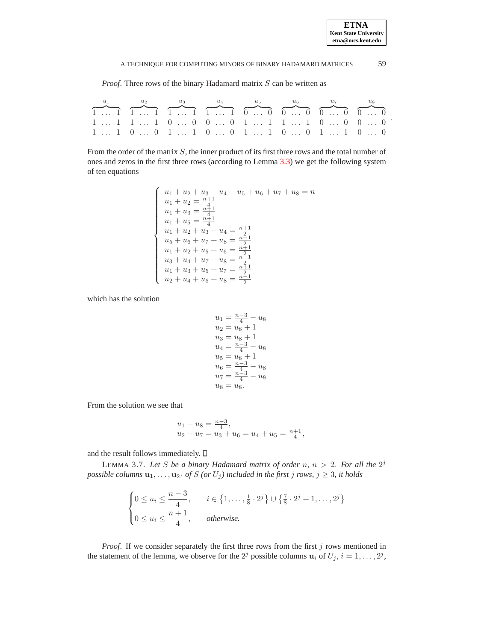.

## A TECHNIQUE FOR COMPUTING MINORS OF BINARY HADAMARD MATRICES  $59$

*Proof.* Three rows of the binary Hadamard matrix S can be written as

| $u_2$                                                                                                                                                                                           | $u_3$ | $u_4$ $u_5$ | $u_{\kappa}$ |  |
|-------------------------------------------------------------------------------------------------------------------------------------------------------------------------------------------------|-------|-------------|--------------|--|
| $\overbrace{1 \dots 1}$ $\overbrace{1 \dots 1}$ $\overbrace{1 \dots 1}$ $\overbrace{1 \dots 1}$ $\overbrace{0 \dots 0}$ $\overbrace{0 \dots 0}$ $\overbrace{0 \dots 0}$ $\overbrace{0 \dots 0}$ |       |             |              |  |
| 1  1 1  1 0  0 0  0 1  1 1  1 0  0 0  0                                                                                                                                                         |       |             |              |  |
| 1  1 0  0 1  1 0  0 1  1 0  0 1  1 0  0                                                                                                                                                         |       |             |              |  |

From the order of the matrix S, the inner product of its first three rows and the total number of ones and zeros in the first three rows (according to Lemma [3.3\)](#page-6-2) we get the following system of ten equations

$$
\left\{\n\begin{array}{l}\nu_1 + u_2 + u_3 + u_4 + u_5 + u_6 + u_7 + u_8 = n \\
u_1 + u_2 = \frac{n+1}{4} \\
u_1 + u_3 = \frac{n+1}{4} \\
u_1 + u_5 = \frac{n+1}{4} \\
u_1 + u_2 + u_3 + u_4 = \frac{n+1}{2} \\
u_5 + u_6 + u_7 + u_8 = \frac{n-1}{2} \\
u_1 + u_2 + u_5 + u_6 = \frac{n+1}{2} \\
u_3 + u_4 + u_7 + u_8 = \frac{n-1}{2} \\
u_1 + u_3 + u_5 + u_7 = \frac{n+1}{2} \\
u_2 + u_4 + u_6 + u_8 = \frac{n-1}{2}\n\end{array}\n\right.
$$

which has the solution

$$
u_1 = \frac{n-3}{4} - u_8
$$
  
\n
$$
u_2 = u_8 + 1
$$
  
\n
$$
u_3 = u_8 + 1
$$
  
\n
$$
u_4 = \frac{n-3}{4} - u_8
$$
  
\n
$$
u_5 = u_8 + 1
$$
  
\n
$$
u_6 = \frac{n-3}{4} - u_8
$$
  
\n
$$
u_7 = \frac{n-3}{4} - u_8
$$
  
\n
$$
u_8 = u_8.
$$

From the solution we see that

$$
u_1 + u_8 = \frac{n-3}{4},
$$
  
\n
$$
u_2 + u_7 = u_3 + u_6 = u_4 + u_5 = \frac{n+1}{4},
$$

<span id="page-10-0"></span>and the result follows immediately.  $\square$ 

LEMMA 3.7. Let S be a binary Hadamard matrix of order  $n, n > 2$ . For all the  $2^{j}$  $p$ *ossible columns*  $\mathbf{u}_1, \ldots, \mathbf{u}_{2^j}$  *of*  $S$  *(or*  $U_j$ ) included in the first  $j$  *rows,*  $j \geq 3$ *, it holds* 

$$
\begin{cases} 0 \le u_i \le \frac{n-3}{4}, & i \in \{1, \dots, \frac{1}{8} \cdot 2^j\} \cup \{\frac{7}{8} \cdot 2^j + 1, \dots, 2^j\} \\ 0 \le u_i \le \frac{n+1}{4}, & otherwise. \end{cases}
$$

*Proof.* If we consider separately the first three rows from the first j rows mentioned in the statement of the lemma, we observe for the  $2^j$  possible columns  $\mathbf{u}_i$  of  $U_j$ ,  $i = 1, \ldots, 2^j$ ,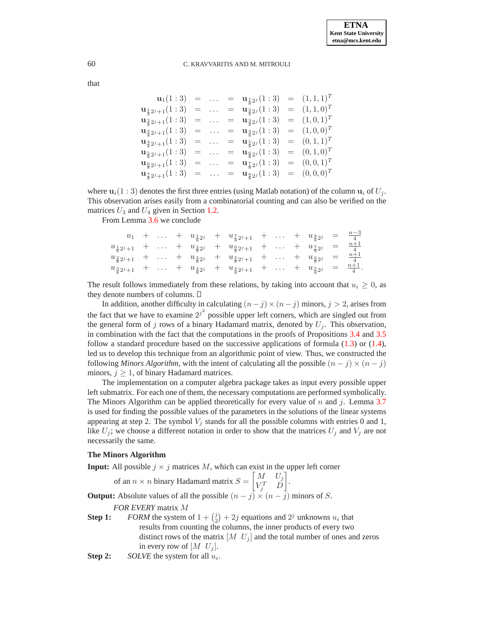that

$$
\begin{array}{rclcrcl} \mathbf{u}_1(1:3)&=&\ldots&=&\mathbf{u}_{\frac{1}{8}2^j}(1:3)&=&(1,1,1)^T\\ \mathbf{u}_{\frac{1}{8}2^j+1}(1:3)&=&\ldots&=&\mathbf{u}_{\frac{2}{8}2^j}(1:3)&=&(1,1,0)^T\\ \mathbf{u}_{\frac{2}{8}2^j+1}(1:3)&=&\ldots&=&\mathbf{u}_{\frac{3}{8}2^j}(1:3)&=&(1,0,1)^T\\ \mathbf{u}_{\frac{3}{8}2^j+1}(1:3)&=&\ldots&=&\mathbf{u}_{\frac{4}{8}2^j}(1:3)&=&(1,0,0)^T\\ \mathbf{u}_{\frac{4}{8}2^j+1}(1:3)&=&\ldots&=&\mathbf{u}_{\frac{5}{8}2^j}(1:3)&=&(0,1,1)^T\\ \mathbf{u}_{\frac{5}{8}2^j+1}(1:3)&=&\ldots&=&\mathbf{u}_{\frac{5}{8}2^j}(1:3)&=&(0,0,1)^T\\ \mathbf{u}_{\frac{5}{8}2^j+1}(1:3)&=&\ldots&=&\mathbf{u}_{\frac{7}{8}2^j}(1:3)&=&(0,0,0)^T\\ \mathbf{u}_{\frac{7}{8}2^j+1}(1:3)&=&\ldots&=&\mathbf{u}_{\frac{8}{8}2^j}(1:3)&=&(0,0,0)^T \end{array}
$$

where  $\mathbf{u}_i(1:3)$  denotes the first three entries (using Matlab notation) of the column  $\mathbf{u}_i$  of  $U_j$ . This observation arises easily from a combinatorial counting and can also be verified on the matrices  $U_3$  and  $U_4$  given in Section [1.2.](#page-2-1)

From Lemma [3.6](#page-9-1) we conclude

$$
u_1 + \ldots + u_{\frac{1}{8}2^j} + u_{\frac{2}{8}2^j+1} + \ldots + u_{\frac{8}{8}2^j} = \frac{n-3}{4}
$$
  
\n
$$
u_{\frac{1}{8}2^j+1} + \ldots + u_{\frac{2}{8}2^j} + u_{\frac{6}{8}2^j+1} + \ldots + u_{\frac{7}{8}2^j} = \frac{n+1}{4}
$$
  
\n
$$
u_{\frac{2}{8}2^j+1} + \ldots + u_{\frac{3}{8}2^j} + u_{\frac{5}{8}2^j+1} + \ldots + u_{\frac{6}{8}2^j} = \frac{n+1}{4}
$$
  
\n
$$
u_{\frac{3}{8}2^j+1} + \ldots + u_{\frac{4}{8}2^j} + u_{\frac{4}{8}2^j+1} + \ldots + u_{\frac{5}{8}2^j} = \frac{n+1}{4}.
$$

The result follows immediately from these relations, by taking into account that  $u_i \geq 0$ , as they denote numbers of columns.

In addition, another difficulty in calculating  $(n-j)\times(n-j)$  minors,  $j>2$ , arises from the fact that we have to examine  $2^{j^2}$  possible upper left corners, which are singled out from the general form of j rows of a binary Hadamard matrix, denoted by  $U_j$ . This observation, in combination with the fact that the computations in the proofs of Propositions [3.4](#page-6-3) and [3.5](#page-7-1) follow a standard procedure based on the successive applications of formula [\(1.3\)](#page-4-1) or [\(1.4\)](#page-4-2), led us to develop this technique from an algorithmic point of view. Thus, we constructed the following *Minors Algorithm*, with the intent of calculating all the possible  $(n - j) \times (n - j)$ minors,  $j \geq 1$ , of binary Hadamard matrices.

The implementation on a computer algebra package takes as input every possible upper left submatrix. For each one of them, the necessary computations are performed symbolically. The Minors Algorithm can be applied theoretically for every value of  $n$  and  $j$ . Lemma [3.7](#page-10-0) is used for finding the possible values of the parameters in the solutions of the linear systems appearing at step 2. The symbol  $V_j$  stands for all the possible columns with entries 0 and 1, like  $U_j$ ; we choose a different notation in order to show that the matrices  $U_j$  and  $V_j$  are not necessarily the same.

## **The Minors Algorithm**

**Input:** All possible  $j \times j$  matrices M, which can exist in the upper left corner

of an 
$$
n \times n
$$
 binary Hadamard matrix  $S = \begin{bmatrix} M & U_j \\ V_j^T & D \end{bmatrix}$ .

**Output:** Absolute values of all the possible  $(n - j) \times (n - j)$  minors of S.

*FOR EVERY* matrix M

- **Step 1:** *FORM* the system of  $1 + {j \choose 2} + 2j$  equations and  $2^j$  unknowns  $u_i$  that results from counting the columns, the inner products of every two distinct rows of the matrix  $[M \ U_j]$  and the total number of ones and zeros in every row of  $\left[ M \right]$ .
- **Step 2:** *SOLVE* the system for all  $u_i$ .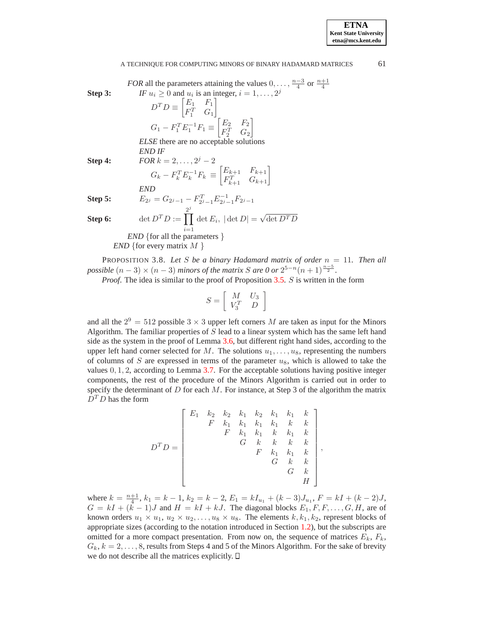| <i>FOR</i> all the parameters attaining the values $0, \ldots, \frac{n-3}{4}$ or $\frac{n+1}{4}$         |                                                                     |
|----------------------------------------------------------------------------------------------------------|---------------------------------------------------------------------|
| <b>Step 3:</b>                                                                                           | <i>IF</i> $u_i \ge 0$ and $u_i$ is an integer, $i = 1, \ldots, 2^j$ |
| $D^T D \equiv \begin{bmatrix} E_1 & F_1 \\ F_1^T & G_1 \end{bmatrix}$                                    |                                                                     |
| $G_1 - F_1^T E_1^{-1} F_1 \equiv \begin{bmatrix} E_2 & F_2 \\ F_2^T & G_2 \end{bmatrix}$                 |                                                                     |
| <i>ELSE</i> there are no acceptable solutions                                                            |                                                                     |
| <i>END IF</i>                                                                                            |                                                                     |
| <b>Step 4:</b>                                                                                           | <i>FOR</i> $k = 2, \ldots, 2^j - 2$                                 |
| $G_k - F_k^T E_k^{-1} F_k \equiv \begin{bmatrix} E_{k+1} & F_{k+1} \\ F_{k+1}^T & G_{k+1} \end{bmatrix}$ |                                                                     |
| <b>Step 5:</b>                                                                                           | $E_{2^j} = G_{2^j-1} - F_{2^j-1}^T E_{2^j-1}^{-1} F_{2^j-1}$        |

**Step 6:** 
$$
\det D^T D := \prod_{i=1}^{2^j} \det E_i, \, |\det D| = \sqrt{\det D^T D}
$$

*END* {for all the parameters } *END* {for every matrix *M* }

<span id="page-12-0"></span>PROPOSITION 3.8. Let S be a binary Hadamard matrix of order  $n = 11$ . Then all *possible*  $(n-3) \times (n-3)$  *minors of the matrix S are 0 or*  $2^{5-n}(n+1)^{\frac{n-5}{2}}$ .

*Proof*. The idea is similar to the proof of Proposition [3.5.](#page-7-1) S is written in the form

$$
S = \left[ \begin{array}{cc} M & U_3 \\ V_3^T & D \end{array} \right]
$$

and all the  $2^9 = 512$  possible  $3 \times 3$  upper left corners M are taken as input for the Minors Algorithm. The familiar properties of  $S$  lead to a linear system which has the same left hand side as the system in the proof of Lemma [3.6,](#page-9-1) but different right hand sides, according to the upper left hand corner selected for M. The solutions  $u_1, \ldots, u_8$ , representing the numbers of columns of S are expressed in terms of the parameter  $u_8$ , which is allowed to take the values  $0, 1, 2$ , according to Lemma [3.7.](#page-10-0) For the acceptable solutions having positive integer components, the rest of the procedure of the Minors Algorithm is carried out in order to specify the determinant of  $D$  for each  $M$ . For instance, at Step 3 of the algorithm the matrix  $D^T D$  has the form

$$
D^T D = \begin{bmatrix} E_1 & k_2 & k_2 & k_1 & k_2 & k_1 & k_1 & k \\ & F & k_1 & k_1 & k_1 & k & k \\ & & F & k_1 & k_1 & k & k_1 & k \\ & & & G & k & k & k & k \\ & & & & F & k_1 & k_1 & k \\ & & & & & G & k & k \\ & & & & & G & k & H \end{bmatrix}
$$

,

where  $k = \frac{n+1}{4}$ ,  $k_1 = k - 1$ ,  $k_2 = k - 2$ ,  $E_1 = kI_{u_1} + (k-3)J_{u_1}$ ,  $F = kI + (k-2)J$ ,  $G = kI + (k-1)J$  and  $H = kI + kJ$ . The diagonal blocks  $E_1, F, F, \ldots, G, H$ , are of known orders  $u_1 \times u_1, u_2 \times u_2, \ldots, u_8 \times u_8$ . The elements  $k, k_1, k_2$ , represent blocks of appropriate sizes (according to the notation introduced in Section [1.2\)](#page-2-1), but the subscripts are omitted for a more compact presentation. From now on, the sequence of matrices  $E_k$ ,  $F_k$ ,  $G_k, k = 2, \ldots, 8$ , results from Steps 4 and 5 of the Minors Algorithm. For the sake of brevity we do not describe all the matrices explicitly.

**ETNA Kent State University etna@mcs.kent.edu**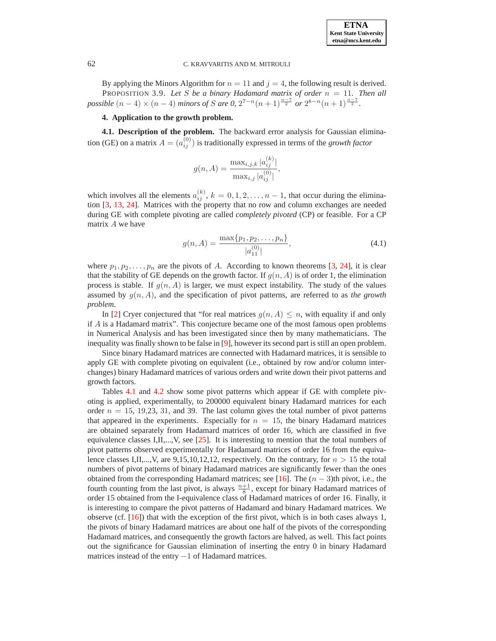<span id="page-13-1"></span>By applying the Minors Algorithm for  $n = 11$  and  $j = 4$ , the following result is derived. PROPOSITION 3.9. Let S be a binary Hadamard matrix of order  $n = 11$ . Then all *possible*  $(n-4) \times (n-4)$  *minors of* S are 0,  $2^{7-n}(n+1)^{\frac{n-7}{2}}$  or  $2^{8-n}(n+1)^{\frac{n-7}{2}}$ .

# **4. Application to the growth problem.**

<span id="page-13-0"></span>**4.1. Description of the problem.** The backward error analysis for Gaussian elimination (GE) on a matrix  $A = (a_{ij}^{(0)})$  is traditionally expressed in terms of the *growth factor* 

$$
g(n, A) = \frac{\max_{i,j,k} |a_{ij}^{(k)}|}{\max_{i,j} |a_{ij}^{(0)}|},
$$

which involves all the elements  $a_{ij}^{(k)}$ ,  $k = 0, 1, 2, ..., n - 1$ , that occur during the elimination [\[3,](#page-17-6) [13,](#page-17-8) [24\]](#page-18-9). Matrices with the property that no row and column exchanges are needed during GE with complete pivoting are called *completely pivoted* (CP) or feasible. For a CP matrix A we have

$$
g(n, A) = \frac{\max\{p_1, p_2, \dots, p_n\}}{|a_{11}^{(0)}|},
$$
\n(4.1)

<span id="page-13-2"></span>where  $p_1, p_2, \ldots, p_n$  are the pivots of A. According to known theorems [\[3,](#page-17-6) [24\]](#page-18-9), it is clear that the stability of GE depends on the growth factor. If  $g(n, A)$  is of order 1, the elimination process is stable. If  $g(n, A)$  is larger, we must expect instability. The study of the values assumed by  $q(n, A)$ , and the specification of pivot patterns, are referred to as *the growth problem*.

In [\[2\]](#page-17-9) Cryer conjectured that "for real matrices  $g(n, A) \leq n$ , with equality if and only if  $A$  is a Hadamard matrix". This conjecture became one of the most famous open problems in Numerical Analysis and has been investigated since then by many mathematicians. The inequality was finally shown to be false in [\[9\]](#page-17-10), however its second part is still an open problem.

Since binary Hadamard matrices are connected with Hadamard matrices, it is sensible to apply GE with complete pivoting on equivalent (i.e., obtained by row and/or column interchanges) binary Hadamard matrices of various orders and write down their pivot patterns and growth factors.

Tables [4.1](#page-14-0) and [4.2](#page-15-0) show some pivot patterns which appear if GE with complete pivoting is applied, experimentally, to 200000 equivalent binary Hadamard matrices for each order  $n = 15, 19, 23, 31,$  and 39. The last column gives the total number of pivot patterns that appeared in the experiments. Especially for  $n = 15$ , the binary Hadamard matrices are obtained separately from Hadamard matrices of order 16, which are classified in five equivalence classes I,II,..., V, see [\[25\]](#page-18-2). It is interesting to mention that the total numbers of pivot patterns observed experimentally for Hadamard matrices of order 16 from the equivalence classes I,II,...,V, are 9,15,10,12,12, respectively. On the contrary, for  $n > 15$  the total numbers of pivot patterns of binary Hadamard matrices are significantly fewer than the ones obtained from the corresponding Hadamard matrices; see [\[16\]](#page-18-10). The  $(n - 3)$ th pivot, i.e., the fourth counting from the last pivot, is always  $\frac{n+1}{8}$ , except for binary Hadamard matrices of order 15 obtained from the I-equivalence class of Hadamard matrices of order 16. Finally, it is interesting to compare the pivot patterns of Hadamard and binary Hadamard matrices. We observe (cf.  $[16]$ ) that with the exception of the first pivot, which is in both cases always 1, the pivots of binary Hadamard matrices are about one half of the pivots of the corresponding Hadamard matrices, and consequently the growth factors are halved, as well. This fact points out the significance for Gaussian elimination of inserting the entry 0 in binary Hadamard matrices instead of the entry −1 of Hadamard matrices.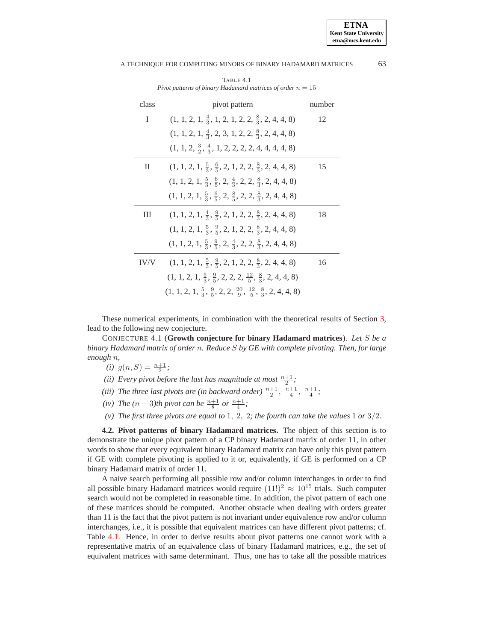<span id="page-14-0"></span>

| class | pivot pattern                                                                                       | number |
|-------|-----------------------------------------------------------------------------------------------------|--------|
| I     | $(1, 1, 2, 1, \frac{4}{3}, 1, 2, 1, 2, 2, \frac{8}{3}, 2, 4, 4, 8)$                                 | 12     |
|       | $(1, 1, 2, 1, \frac{4}{3}, 2, 3, 1, 2, 2, \frac{8}{3}, 2, 4, 4, 8)$                                 |        |
|       | $(1, 1, 2, \frac{3}{2}, \frac{4}{3}, 1, 2, 2, 2, 2, 4, 4, 4, 4, 8)$                                 |        |
| П     | $(1, 1, 2, 1, \frac{5}{3}, \frac{6}{5}, 2, 1, 2, 2, \frac{8}{3}, 2, 4, 4, 8)$                       | 15     |
|       | $(1, 1, 2, 1, \frac{5}{3}, \frac{6}{5}, 2, \frac{4}{3}, 2, 2, \frac{8}{3}, 2, 4, 4, 8)$             |        |
|       | $(1, 1, 2, 1, \frac{5}{3}, \frac{6}{5}, 2, \frac{8}{5}, 2, 2, \frac{8}{3}, 2, 4, 4, 8)$             |        |
| Ш     | $(1, 1, 2, 1, \frac{4}{3}, \frac{9}{5}, 2, 1, 2, 2, \frac{8}{3}, 2, 4, 4, 8)$                       | 18     |
|       | $(1, 1, 2, 1, \frac{5}{3}, \frac{9}{5}, 2, 1, 2, 2, \frac{8}{3}, 2, 4, 4, 8)$                       |        |
|       | $(1, 1, 2, 1, \frac{5}{3}, \frac{9}{5}, 2, \frac{4}{3}, 2, 2, \frac{8}{3}, 2, 4, 4, 8)$             |        |
| IV/V  | $(1, 1, 2, 1, \frac{5}{3}, \frac{9}{5}, 2, 1, 2, 2, \frac{8}{3}, 2, 4, 4, 8)$                       | 16     |
|       | $(1, 1, 2, 1, \frac{5}{3}, \frac{9}{5}, 2, 2, 2, \frac{12}{5}, \frac{8}{3}, 2, 4, 4, 8)$            |        |
|       | $(1, 1, 2, 1, \frac{5}{3}, \frac{9}{5}, 2, 2, \frac{20}{9}, \frac{12}{5}, \frac{8}{3}, 2, 4, 4, 8)$ |        |

TABLE 4.1 *Pivot patterns of binary Hadamard matrices of order*  $n = 15$ 

These numerical experiments, in combination with the theoretical results of Section [3,](#page-5-0) lead to the following new conjecture.

CONJECTURE 4.1 (**Growth conjecture for binary Hadamard matrices**). *Let* S *be a binary Hadamard matrix of order* n*. Reduce* S *by GE with complete pivoting. Then, for large enough* n*,*

- (*i*)  $g(n, S) = \frac{n+1}{2}$ ;
- (*ii*) Every pivot before the last has magnitude at most  $\frac{n+1}{2}$ ;
- (*iii*) The three last pivots are (in backward order)  $\frac{n+1}{2}$ ,  $\frac{n+1}{4}$ ,  $\frac{n+1}{4}$ ;
- *(iv) The*  $(n-3)$ *th pivot can be*  $\frac{n+1}{8}$  *or*  $\frac{n+1}{4}$ ;
- *(v) The first three pivots are equal to* 1, 2, 2*; the fourth can take the values* 1 *or* 3/2*.*

**4.2. Pivot patterns of binary Hadamard matrices.** The object of this section is to demonstrate the unique pivot pattern of a CP binary Hadamard matrix of order 11, in other words to show that every equivalent binary Hadamard matrix can have only this pivot pattern if GE with complete pivoting is applied to it or, equivalently, if GE is performed on a CP binary Hadamard matrix of order 11.

A naive search performing all possible row and/or column interchanges in order to find all possible binary Hadamard matrices would require  $(11!)^2 \approx 10^{15}$  trials. Such computer search would not be completed in reasonable time. In addition, the pivot pattern of each one of these matrices should be computed. Another obstacle when dealing with orders greater than 11 is the fact that the pivot pattern is not invariant under equivalence row and/or column interchanges, i.e., it is possible that equivalent matrices can have different pivot patterns; cf. Table [4.1.](#page-14-0) Hence, in order to derive results about pivot patterns one cannot work with a representative matrix of an equivalence class of binary Hadamard matrices, e.g., the set of equivalent matrices with same determinant. Thus, one has to take all the possible matrices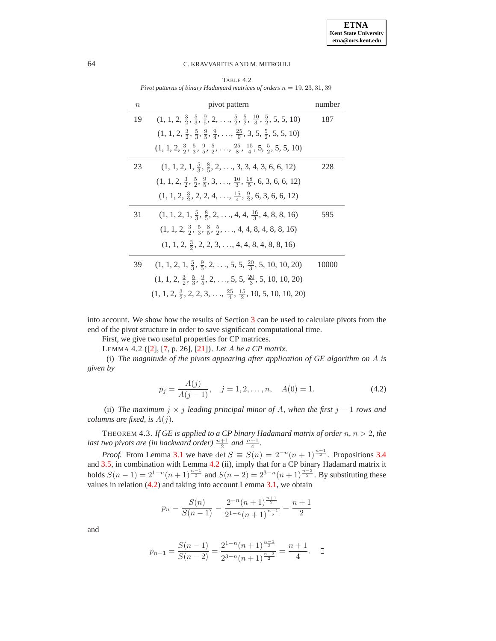TABLE 4.2 *Pivot patterns of binary Hadamard matrices of orders*  $n = 19, 23, 31, 39$ 

<span id="page-15-0"></span>

| $\, n$ | pivot pattern                                                                                                                 | number |
|--------|-------------------------------------------------------------------------------------------------------------------------------|--------|
| 19     | $(1, 1, 2, \frac{3}{2}, \frac{5}{3}, \frac{9}{5}, 2, \ldots, \frac{5}{2}, \frac{5}{2}, \frac{10}{3}, \frac{5}{2}, 5, 5, 10)$  | 187    |
|        | $(1, 1, 2, \frac{3}{2}, \frac{5}{3}, \frac{9}{5}, \frac{9}{4}, \ldots, \frac{25}{9}, 3, 5, \frac{5}{2}, 5, 5, 10)$            |        |
|        | $(1, 1, 2, \frac{3}{2}, \frac{5}{3}, \frac{9}{5}, \frac{5}{2}, \ldots, \frac{25}{8}, \frac{15}{4}, 5, \frac{5}{2}, 5, 5, 10)$ |        |
| 23     | $(1, 1, 2, 1, \frac{5}{3}, \frac{8}{5}, 2, \ldots, 3, 3, 4, 3, 6, 6, 12)$                                                     | 228    |
|        | $(1, 1, 2, \frac{3}{2}, \frac{5}{2}, \frac{9}{5}, 3, \ldots, \frac{10}{3}, \frac{18}{5}, 6, 3, 6, 6, 12)$                     |        |
|        | $(1, 1, 2, \frac{3}{2}, 2, 2, 4, \ldots, \frac{15}{4}, \frac{9}{2}, 6, 3, 6, 6, 12)$                                          |        |
| 31     | $(1, 1, 2, 1, \frac{5}{3}, \frac{8}{5}, 2, \ldots, 4, 4, \frac{16}{3}, 4, 8, 8, 16)$                                          | 595    |
|        | $(1, 1, 2, \frac{3}{2}, \frac{5}{3}, \frac{8}{5}, \frac{5}{2}, \ldots, 4, 4, 8, 4, 8, 8, 16)$                                 |        |
|        | $(1, 1, 2, \frac{3}{2}, 2, 2, 3, \ldots, 4, 4, 8, 4, 8, 8, 16)$                                                               |        |
| 39     | $(1, 1, 2, 1, \frac{5}{3}, \frac{9}{5}, 2, \ldots, 5, 5, \frac{20}{3}, 5, 10, 10, 20)$                                        | 10000  |
|        | $(1, 1, 2, \frac{3}{2}, \frac{5}{3}, \frac{9}{5}, 2, \ldots, 5, 5, \frac{20}{3}, 5, 10, 10, 20)$                              |        |
|        | $(1, 1, 2, \frac{3}{2}, 2, 2, 3, \ldots, \frac{25}{4}, \frac{15}{2}, 10, 5, 10, 10, 20)$                                      |        |

into account. We show how the results of Section [3](#page-5-0) can be used to calculate pivots from the end of the pivot structure in order to save significant computational time.

First, we give two useful properties for CP matrices.

LEMMA 4.2 ([\[2\]](#page-17-9), [\[7,](#page-17-11) p. 26], [\[21\]](#page-18-11)). *Let* A *be a CP matrix.*

<span id="page-15-1"></span>(i) *The magnitude of the pivots appearing after application of GE algorithm on* A *is given by*

$$
p_j = \frac{A(j)}{A(j-1)}, \quad j = 1, 2, \dots, n, \quad A(0) = 1.
$$
 (4.2)

<span id="page-15-2"></span>(ii) *The maximum*  $j \times j$  *leading principal minor of A, when the first*  $j - 1$  *rows and columns are fixed, is* A(j)*.*

<span id="page-15-3"></span>THEOREM 4.3. If  $GE$  is applied to a CP binary Hadamard matrix of order  $n, n > 2$ , the *last two pivots are (in backward order)*  $\frac{n+1}{2}$  *and*  $\frac{n+1}{4}$ *.* 

*Proof.* From Lemma [3.1](#page-5-1) we have det  $S \equiv S(n) = 2^{-n}(n+1)^{\frac{n+1}{2}}$ . Propositions [3.4](#page-6-3) and [3.5,](#page-7-1) in combination with Lemma [4.2](#page-15-1) (ii), imply that for a CP binary Hadamard matrix it holds  $S(n-1) = 2^{1-n}(n+1)^{\frac{n-1}{2}}$  and  $S(n-2) = 2^{3-n}(n+1)^{\frac{n-3}{2}}$ . By substituting these values in relation [\(4.2\)](#page-15-2) and taking into account Lemma [3.1,](#page-5-1) we obtain

$$
p_n = \frac{S(n)}{S(n-1)} = \frac{2^{-n}(n+1)^{\frac{n+1}{2}}}{2^{1-n}(n+1)^{\frac{n-1}{2}}} = \frac{n+1}{2}
$$

and

$$
p_{n-1} = \frac{S(n-1)}{S(n-2)} = \frac{2^{1-n}(n+1)^{\frac{n-1}{2}}}{2^{3-n}(n+1)^{\frac{n-3}{2}}} = \frac{n+1}{4}.
$$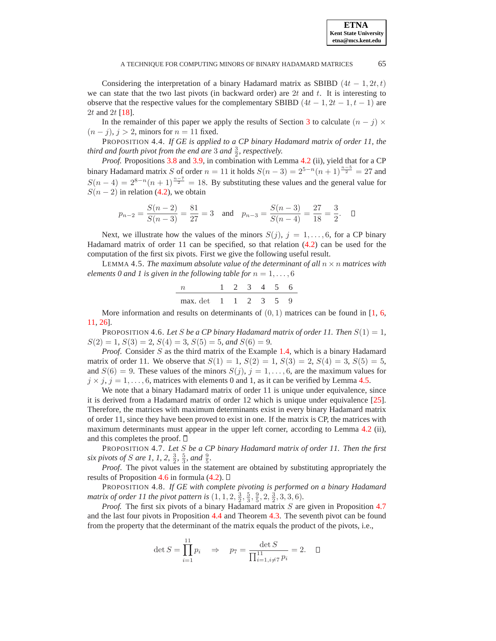Considering the interpretation of a binary Hadamard matrix as SBIBD  $(4t - 1, 2t, t)$ we can state that the two last pivots (in backward order) are  $2t$  and  $t$ . It is interesting to observe that the respective values for the complementary SBIBD  $(4t - 1, 2t - 1, t - 1)$  are 2t and 2t [\[18\]](#page-18-7).

<span id="page-16-3"></span>In the remainder of this paper we apply the results of Section [3](#page-5-0) to calculate  $(n - j) \times$  $(n - j)$ ,  $j > 2$ , minors for  $n = 11$  fixed.

PROPOSITION 4.4. *If GE is applied to a CP binary Hadamard matrix of order 11, the* third and fourth pivot from the end are  $3$  and  $\frac{3}{2}$ , respectively.

*Proof.* Propositions [3.8](#page-12-0) and [3.9,](#page-13-1) in combination with Lemma [4.2](#page-15-1) (ii), yield that for a CP binary Hadamard matrix S of order  $n = 11$  it holds  $S(n-3) = 2^{5-n}(n+1)^{\frac{n-5}{2}} = 27$  and  $S(n-4) = 2^{8-n}(n+1)^{\frac{n-7}{2}} = 18$ . By substituting these values and the general value for  $S(n-2)$  in relation [\(4.2\)](#page-15-2), we obtain

$$
p_{n-2} = \frac{S(n-2)}{S(n-3)} = \frac{81}{27} = 3
$$
 and  $p_{n-3} = \frac{S(n-3)}{S(n-4)} = \frac{27}{18} = \frac{3}{2}$ .  $\Box$ 

Next, we illustrate how the values of the minors  $S(j)$ ,  $j = 1, \ldots, 6$ , for a CP binary Hadamard matrix of order 11 can be specified, so that relation [\(4.2\)](#page-15-2) can be used for the computation of the first six pivots. First we give the following useful result.

<span id="page-16-0"></span>LEMMA 4.5. *The maximum absolute value of the determinant of all*  $n \times n$  *matrices with elements 0 and 1 is given in the following table for*  $n = 1, \ldots, 6$ 

n 1 2 3 4 5 6 max. det 1 1 2 3 5 9

More information and results on determinants of  $(0, 1)$  matrices can be found in [\[1,](#page-17-12) [6,](#page-17-13) [11,](#page-17-2) [26\]](#page-18-12).

<span id="page-16-1"></span>PROPOSITION 4.6. Let S be a CP binary Hadamard matrix of order 11. Then  $S(1) = 1$ ,  $S(2) = 1$ ,  $S(3) = 2$ ,  $S(4) = 3$ ,  $S(5) = 5$ , and  $S(6) = 9$ .

*Proof.* Consider S as the third matrix of the Example [1.4,](#page-2-2) which is a binary Hadamard matrix of order 11. We observe that  $S(1) = 1$ ,  $S(2) = 1$ ,  $S(3) = 2$ ,  $S(4) = 3$ ,  $S(5) = 5$ , and  $S(6) = 9$ . These values of the minors  $S(j), j = 1, \ldots, 6$ , are the maximum values for  $j \times j$ ,  $j = 1, \ldots, 6$ , matrices with elements 0 and 1, as it can be verified by Lemma [4.5.](#page-16-0)

We note that a binary Hadamard matrix of order 11 is unique under equivalence, since it is derived from a Hadamard matrix of order 12 which is unique under equivalence [\[25\]](#page-18-2). Therefore, the matrices with maximum determinants exist in every binary Hadamard matrix of order 11, since they have been proved to exist in one. If the matrix is CP, the matrices with maximum determinants must appear in the upper left corner, according to Lemma [4.2](#page-15-1) (ii), and this completes the proof.  $\Box$ 

<span id="page-16-2"></span>PROPOSITION 4.7. *Let* S *be a CP binary Hadamard matrix of order 11. Then the first six pivots of S are 1, 1, 2,*  $\frac{3}{2}$ *,*  $\frac{5}{3}$ *, and*  $\frac{9}{5}$ *.* 

*Proof*. The pivot values in the statement are obtained by substituting appropriately the results of Proposition [4.6](#page-16-1) in formula  $(4.2)$ .  $\Box$ 

<span id="page-16-4"></span>PROPOSITION 4.8. *If GE with complete pivoting is performed on a binary Hadamard matrix of order 11 the pivot pattern is*  $(1, 1, 2, \frac{3}{2}, \frac{5}{3}, \frac{9}{5}, 2, \frac{3}{2}, 3, 3, 6)$ *.* 

*Proof.* The first six pivots of a binary Hadamard matrix S are given in Proposition [4.7](#page-16-2) and the last four pivots in Proposition [4.4](#page-16-3) and Theorem [4.3.](#page-15-3) The seventh pivot can be found from the property that the determinant of the matrix equals the product of the pivots, i.e.,

$$
\det S = \prod_{i=1}^{11} p_i \quad \Rightarrow \quad p_7 = \frac{\det S}{\prod_{i=1, i \neq 7}^{11} p_i} = 2. \quad \Box
$$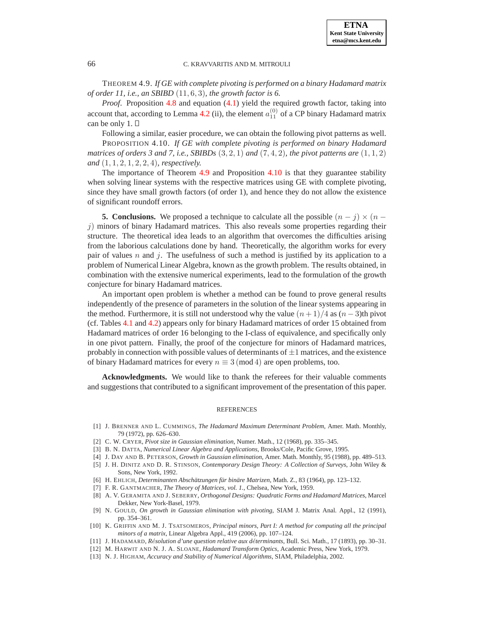<span id="page-17-14"></span>THEOREM 4.9. *If GE with complete pivoting is performed on a binary Hadamard matrix of order 11, i.e., an SBIBD* (11, 6, 3)*, the growth factor is 6.*

*Proof*. Proposition [4.8](#page-16-4) and equation [\(4.1\)](#page-13-2) yield the required growth factor, taking into account that, according to Lemma [4.2](#page-15-1) (ii), the element  $a_{11}^{(0)}$  of a CP binary Hadamard matrix can be only 1.

Following a similar, easier procedure, we can obtain the following pivot patterns as well.

<span id="page-17-15"></span>PROPOSITION 4.10. *If GE with complete pivoting is performed on binary Hadamard matrices of orders 3 and 7, i.e., SBIBDs*  $(3, 2, 1)$  *and*  $(7, 4, 2)$ *, the pivot patterns are*  $(1, 1, 2)$ *and* (1, 1, 2, 1, 2, 2, 4)*, respectively.*

The importance of Theorem [4.9](#page-17-14) and Proposition [4.10](#page-17-15) is that they guarantee stability when solving linear systems with the respective matrices using GE with complete pivoting, since they have small growth factors (of order 1), and hence they do not allow the existence of significant roundoff errors.

<span id="page-17-7"></span>**5. Conclusions.** We proposed a technique to calculate all the possible  $(n - j) \times (n - j)$  $j$ ) minors of binary Hadamard matrices. This also reveals some properties regarding their structure. The theoretical idea leads to an algorithm that overcomes the difficulties arising from the laborious calculations done by hand. Theoretically, the algorithm works for every pair of values n and j. The usefulness of such a method is justified by its application to a problem of Numerical Linear Algebra, known as the growth problem. The results obtained, in combination with the extensive numerical experiments, lead to the formulation of the growth conjecture for binary Hadamard matrices.

An important open problem is whether a method can be found to prove general results independently of the presence of parameters in the solution of the linear systems appearing in the method. Furthermore, it is still not understood why the value  $(n+1)/4$  as  $(n-3)$ th pivot (cf. Tables [4.1](#page-14-0) and [4.2\)](#page-15-0) appears only for binary Hadamard matrices of order 15 obtained from Hadamard matrices of order 16 belonging to the I-class of equivalence, and specifically only in one pivot pattern. Finally, the proof of the conjecture for minors of Hadamard matrices, probably in connection with possible values of determinants of  $\pm 1$  matrices, and the existence of binary Hadamard matrices for every  $n \equiv 3 \pmod{4}$  are open problems, too.

**Acknowledgments.** We would like to thank the referees for their valuable comments and suggestions that contributed to a significant improvement of the presentation of this paper.

## REFERENCES

- <span id="page-17-12"></span>[1] J. BRENNER AND L. CUMMINGS, *The Hadamard Maximum Determinant Problem*, Amer. Math. Monthly, 79 (1972), pp. 626–630.
- <span id="page-17-9"></span><span id="page-17-6"></span>[2] C. W. CRYER, *Pivot size in Gaussian elimination*, Numer. Math., 12 (1968), pp. 335–345.
- <span id="page-17-0"></span>[3] B. N. DATTA, *Numerical Linear Algebra and Applications*, Brooks/Cole, Pacific Grove, 1995.
- [4] J. DAY AND B. PETERSON, *Growth in Gaussian elimination*, Amer. Math. Monthly, 95 (1988), pp. 489–513.
- <span id="page-17-5"></span>[5] J. H. DINITZ AND D. R. STINSON, *Contemporary Design Theory: A Collection of Surveys*, John Wiley & Sons, New York, 1992.
- <span id="page-17-13"></span>[6] H. EHLICH, *Determinanten Abschatzungen f ¨ ur bin ¨ are Matrizen ¨* , Math. Z., 83 (1964), pp. 123–132.
- <span id="page-17-11"></span><span id="page-17-3"></span>[7] F. R. GANTMACHER, *The Theory of Matrices, vol. 1.*, Chelsea, New York, 1959.
- [8] A. V. GERAMITA AND J. SEBERRY, *Orthogonal Designs: Quadratic Forms and Hadamard Matrices*, Marcel Dekker, New York-Basel, 1979.
- <span id="page-17-10"></span>[9] N. GOULD, *On growth in Gaussian elimination with pivoting*, SIAM J. Matrix Anal. Appl., 12 (1991), pp. 354–361.
- <span id="page-17-1"></span>[10] K. GRIFFIN AND M. J. TSATSOMEROS, *Principal minors, Part I: A method for computing all the principal minors of a matrix*, Linear Algebra Appl., 419 (2006), pp. 107–124.
- <span id="page-17-4"></span><span id="page-17-2"></span>[11] J. HADAMARD, *R*e´*solution d'une question relative aux d*e´*terminants*, Bull. Sci. Math., 17 (1893), pp. 30–31.
- <span id="page-17-8"></span>[12] M. HARWIT AND N. J. A. SLOANE, *Hadamard Transform Optics*, Academic Press, New York, 1979.
- [13] N. J. HIGHAM, *Accuracy and Stability of Numerical Algorithms*, SIAM, Philadelphia, 2002.